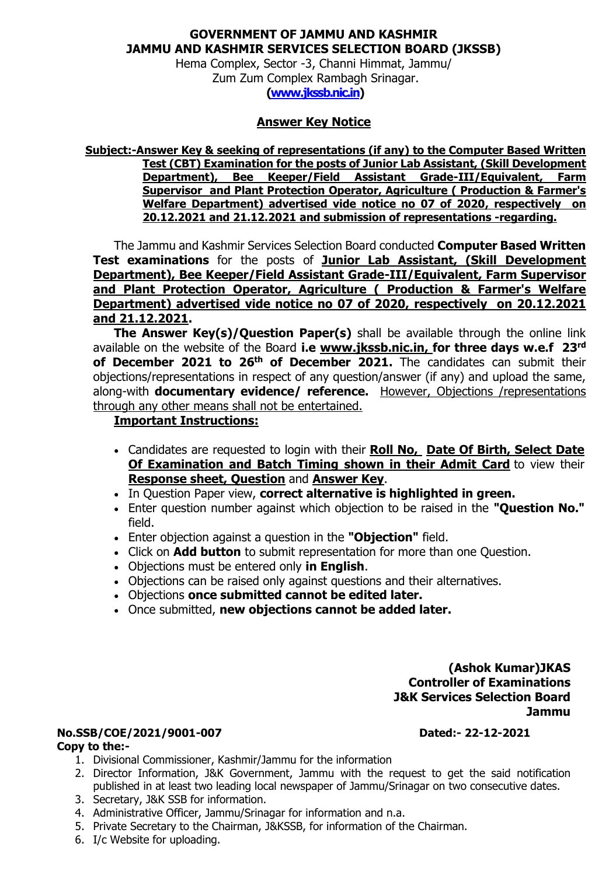# **GOVERNMENT OF JAMMU AND KASHMIR JAMMU AND KASHMIR SERVICES SELECTION BOARD (JKSSB)**

Hema Complex, Sector -3, Channi Himmat, Jammu/ Zum Zum Complex Rambagh Srinagar. **[\(www.jkssb.nic.in\)](http://www.jkssb.nic.in/)**

## **Answer Key Notice**

**Subject:-Answer Key & seeking of representations (if any) to the Computer Based Written Test (CBT) Examination for the posts of Junior Lab Assistant, (Skill Development Department), Bee Keeper/Field Assistant Grade-III/Equivalent, Farm Supervisor and Plant Protection Operator, Agriculture ( Production & Farmer's Welfare Department) advertised vide notice no 07 of 2020, respectively on 20.12.2021 and 21.12.2021 and submission of representations -regarding.**

The Jammu and Kashmir Services Selection Board conducted **Computer Based Written Test examinations** for the posts of **Junior Lab Assistant, (Skill Development Department), Bee Keeper/Field Assistant Grade-III/Equivalent, Farm Supervisor and Plant Protection Operator, Agriculture ( Production & Farmer's Welfare Department) advertised vide notice no 07 of 2020, respectively on 20.12.2021 and 21.12.2021.**

**The Answer Key(s)/Question Paper(s)** shall be available through the online link available on the website of the Board **i.e [www.jkssb.nic.in,](http://www.jkssb.nic.in/) for three days w.e.f 23 rd of December 2021 to 26th of December 2021.** The candidates can submit their objections/representations in respect of any question/answer (if any) and upload the same, along-with **documentary evidence/ reference.** However, Objections /representations through any other means shall not be entertained.

### **Important Instructions:**

- Candidates are requested to login with their **Roll No, Date Of Birth, Select Date Of Examination and Batch Timing shown in their Admit Card** to view their **Response sheet, Question** and **Answer Key**.
- In Question Paper view, **correct alternative is highlighted in green.**
- Enter question number against which objection to be raised in the **"Question No."** field.
- Enter objection against a question in the **"Objection"** field.
- Click on **Add button** to submit representation for more than one Question.
- Objections must be entered only **in English**.
- Objections can be raised only against questions and their alternatives.
- Objections **once submitted cannot be edited later.**
- Once submitted, **new objections cannot be added later.**

### **(Ashok Kumar)JKAS Controller of Examinations J&K Services Selection Board Jammu**

# **No.SSB/COE/2021/9001-007 Dated:- 22-12-2021**

#### **Copy to the:-**

- 1. Divisional Commissioner, Kashmir/Jammu for the information
- 2. Director Information, J&K Government, Jammu with the request to get the said notification published in at least two leading local newspaper of Jammu/Srinagar on two consecutive dates.
- 3. Secretary, J&K SSB for information.
- 4. Administrative Officer, Jammu/Srinagar for information and n.a.
- 5. Private Secretary to the Chairman, J&KSSB, for information of the Chairman.
- 6. I/c Website for uploading.